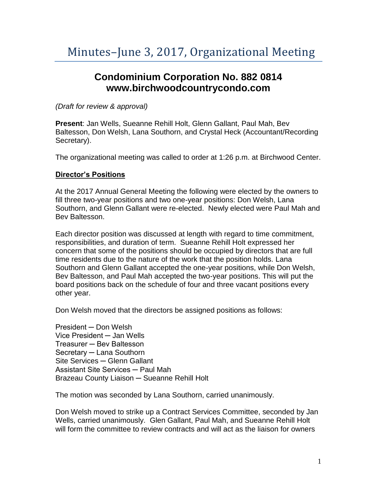## **Condominium Corporation No. 882 0814 www.birchwoodcountrycondo.com**

*(Draft for review & approval)*

**Present**: Jan Wells, Sueanne Rehill Holt, Glenn Gallant, Paul Mah, Bev Baltesson, Don Welsh, Lana Southorn, and Crystal Heck (Accountant/Recording Secretary).

The organizational meeting was called to order at 1:26 p.m. at Birchwood Center.

## **Director's Positions**

At the 2017 Annual General Meeting the following were elected by the owners to fill three two-year positions and two one-year positions: Don Welsh, Lana Southorn, and Glenn Gallant were re-elected. Newly elected were Paul Mah and Bev Baltesson.

Each director position was discussed at length with regard to time commitment, responsibilities, and duration of term. Sueanne Rehill Holt expressed her concern that some of the positions should be occupied by directors that are full time residents due to the nature of the work that the position holds. Lana Southorn and Glenn Gallant accepted the one-year positions, while Don Welsh, Bev Baltesson, and Paul Mah accepted the two-year positions. This will put the board positions back on the schedule of four and three vacant positions every other year.

Don Welsh moved that the directors be assigned positions as follows:

President ─ Don Welsh Vice President ─ Jan Wells Treasurer ─ Bev Baltesson Secretary ─ Lana Southorn Site Services ─ Glenn Gallant Assistant Site Services ─ Paul Mah Brazeau County Liaison ─ Sueanne Rehill Holt

The motion was seconded by Lana Southorn, carried unanimously.

Don Welsh moved to strike up a Contract Services Committee, seconded by Jan Wells, carried unanimously. Glen Gallant, Paul Mah, and Sueanne Rehill Holt will form the committee to review contracts and will act as the liaison for owners